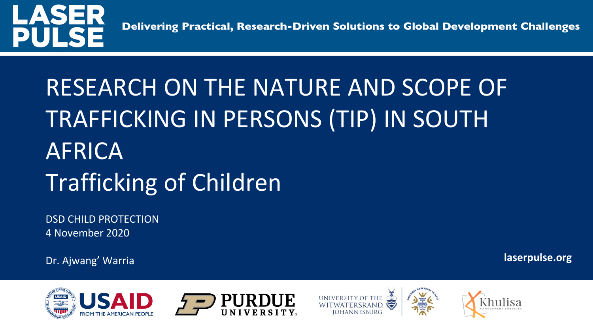

Delivering Practical, Research-Driven Solutions to Global Development Challenges

# RESEARCH ON THE NATURE AND SCOPE OF TRAFFICKING IN PERSONS (TIP) IN SOUTH AFRICA Trafficking of Children

DSD CHILD PROTECTION 4 November 2020

Dr. Ajwang' Warria **laserpulse.org**







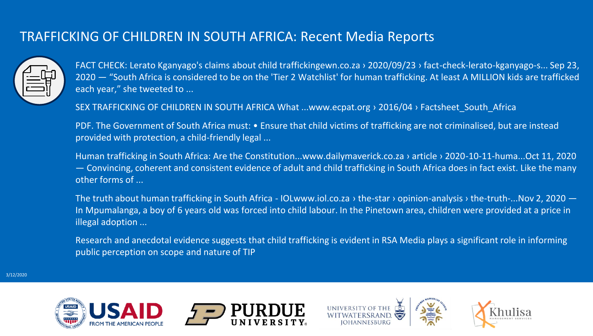#### TRAFFICKING OF CHILDREN IN SOUTH AFRICA: Recent Media Reports



FACT CHECK: Lerato Kganyago's claims about child traffickingewn.co.za › 2020/09/23 › fact-check-lerato-kganyago-s... Sep 23, 2020 — "South Africa is considered to be on the 'Tier 2 Watchlist' for human trafficking. At least A MILLION kids are trafficked each year," she tweeted to ...

SEX TRAFFICKING OF CHILDREN IN SOUTH AFRICA What ...www.ecpat.org > 2016/04 > Factsheet\_South\_Africa

PDF. The Government of South Africa must: • Ensure that child victims of trafficking are not criminalised, but are instead provided with protection, a child-friendly legal ...

Human trafficking in South Africa: Are the Constitution...www.dailymaverick.co.za › article › 2020-10-11-huma...Oct 11, 2020 — Convincing, coherent and consistent evidence of adult and child trafficking in South Africa does in fact exist. Like the many other forms of ...

The truth about human trafficking in South Africa - IOLwww.iol.co.za > the-star > opinion-analysis > the-truth-...Nov 2, 2020 — In Mpumalanga, a boy of 6 years old was forced into child labour. In the Pinetown area, children were provided at a price in illegal adoption ...

Research and anecdotal evidence suggests that child trafficking is evident in RSA Media plays a significant role in informing public perception on scope and nature of TIP





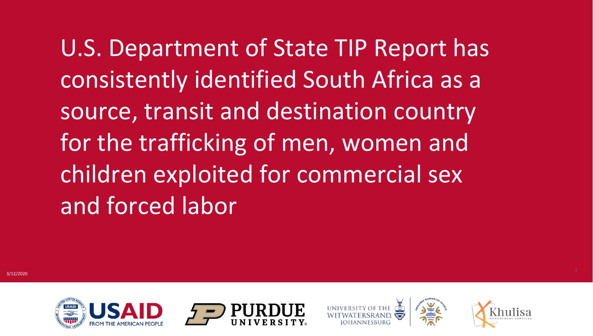U.S. Department of State TIP Report has consistently identified South Africa as a source, transit and destination country for the trafficking of men, women and children exploited for commercial sex and forced labor





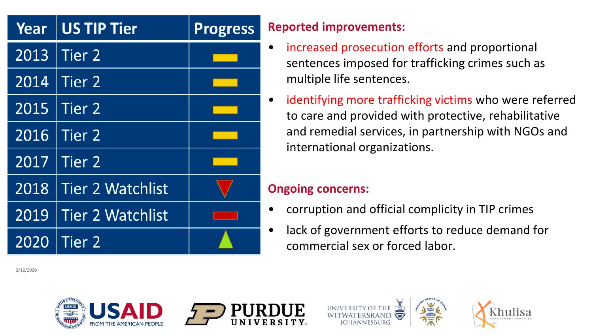| Year | <b>US TIP Tier</b>      | <b>Progress</b> | R |
|------|-------------------------|-----------------|---|
| 2013 | Tier <sub>2</sub>       |                 |   |
| 2014 | Tier 2                  |                 |   |
| 2015 | Tier <sub>2</sub>       |                 |   |
| 2016 | Tier <sub>2</sub>       |                 |   |
| 2017 | Tier <sub>2</sub>       |                 |   |
| 2018 | <b>Tier 2 Watchlist</b> |                 | C |
| 2019 | <b>Tier 2 Watchlist</b> |                 |   |
| 2020 | <b>Tier 2</b>           |                 |   |

**Reported improvements:**

- increased prosecution efforts and proportional sentences imposed for trafficking crimes such as multiple life sentences.
- identifying more trafficking victims who were referred to care and provided with protective, rehabilitative and remedial services, in partnership with NGOs and international organizations.

### **Ongoing concerns:**

- corruption and official complicity in TIP crimes
- lack of government efforts to reduce demand for commercial sex or forced labor.

3/12/2020







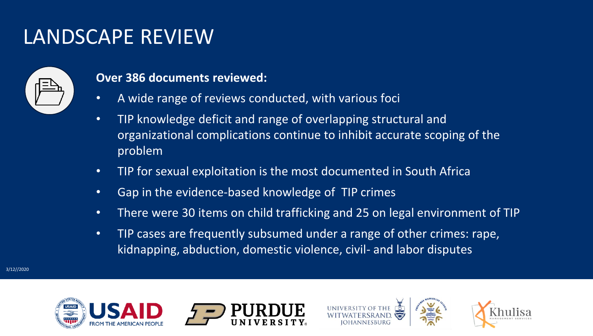### LANDSCAPE REVIEW



#### **Over 386 documents reviewed:**

- A wide range of reviews conducted, with various foci
- TIP knowledge deficit and range of overlapping structural and organizational complications continue to inhibit accurate scoping of the problem
- TIP for sexual exploitation is the most documented in South Africa
- Gap in the evidence-based knowledge of TIP crimes
- There were 30 items on child trafficking and 25 on legal environment of TIP
- TIP cases are frequently subsumed under a range of other crimes: rape, kidnapping, abduction, domestic violence, civil- and labor disputes





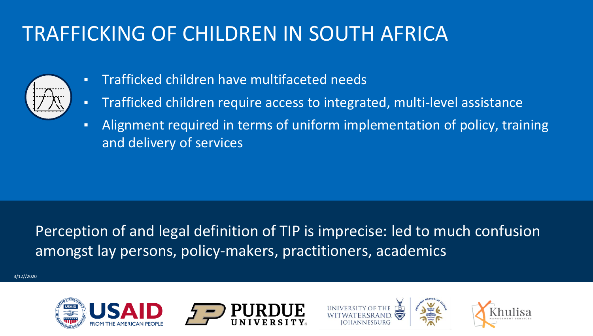### TRAFFICKING OF CHILDREN IN SOUTH AFRICA



- Trafficked children have multifaceted needs
- Trafficked children require access to integrated, multi-level assistance
- Alignment required in terms of uniform implementation of policy, training and delivery of services

Perception of and legal definition of TIP is imprecise: led to much confusion amongst lay persons, policy-makers, practitioners, academics

3/12//2020





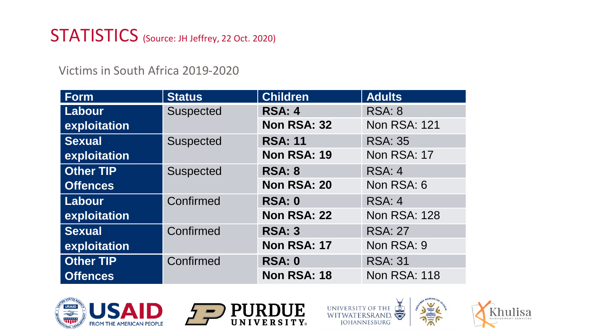### STATISTICS (Source: JH Jeffrey, 22 Oct. 2020)

Victims in South Africa 2019-2020

| Form             | <b>Status</b>    | <b>Children</b>    | <b>Adults</b>       |
|------------------|------------------|--------------------|---------------------|
| Labour           | Suspected        | <b>RSA: 4</b>      | <b>RSA: 8</b>       |
| exploitation     |                  | Non RSA: 32        | <b>Non RSA: 121</b> |
| <b>Sexual</b>    | <b>Suspected</b> | <b>RSA: 11</b>     | <b>RSA: 35</b>      |
| exploitation     |                  | <b>Non RSA: 19</b> | Non RSA: 17         |
| <b>Other TIP</b> | Suspected        | <b>RSA: 8</b>      | RSA: 4              |
| <b>Offences</b>  |                  | Non RSA: 20        | Non RSA: 6          |
| Labour           | Confirmed        | <b>RSA: 0</b>      | RSA: 4              |
| exploitation     |                  | Non RSA: 22        | <b>Non RSA: 128</b> |
| <b>Sexual</b>    | Confirmed        | <b>RSA: 3</b>      | <b>RSA: 27</b>      |
| exploitation     |                  | Non RSA: 17        | Non RSA: 9          |
| <b>Other TIP</b> | Confirmed        | <b>RSA: 0</b>      | <b>RSA: 31</b>      |
| <b>Offences</b>  |                  | <b>Non RSA: 18</b> | <b>Non RSA: 118</b> |







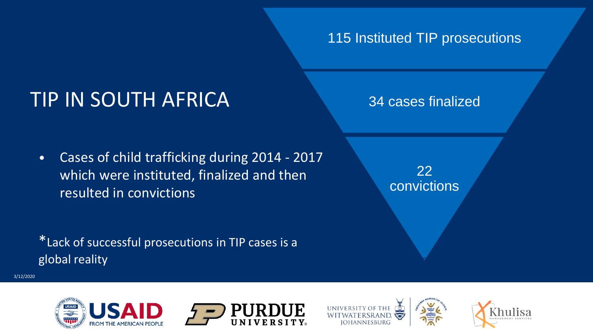### 115 Instituted TIP prosecutions

### TIP IN SOUTH AFRICA

• Cases of child trafficking during 2014 - 2017 which were instituted, finalized and then resulted in convictions

\*Lack of successful prosecutions in TIP cases is a global reality

34 cases finalized

22 convictions

3/12/2020





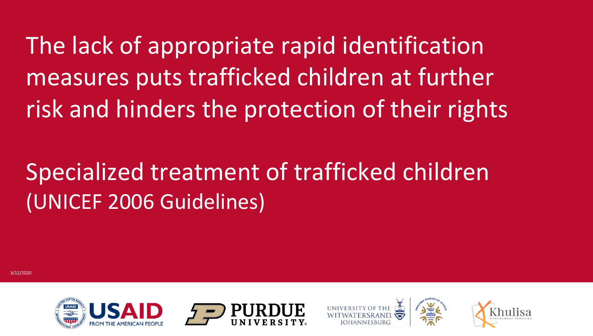The lack of appropriate rapid identification measures puts trafficked children at further risk and hinders the protection of their rights

## Specialized treatment of trafficked children (UNICEF 2006 Guidelines)





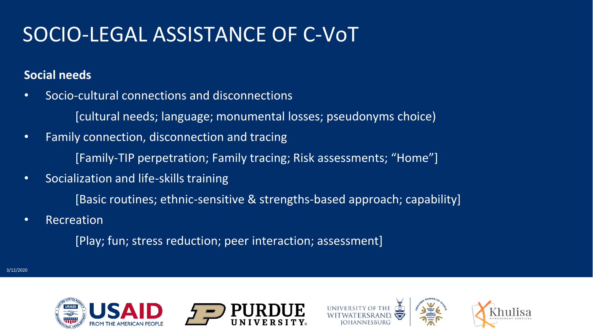### SOCIO-LEGAL ASSISTANCE OF C-VoT

#### **Social needs**

- Socio-cultural connections and disconnections
	- [cultural needs; language; monumental losses; pseudonyms choice)
- Family connection, disconnection and tracing [Family-TIP perpetration; Family tracing; Risk assessments; "Home"]
- Socialization and life-skills training
	- [Basic routines; ethnic-sensitive & strengths-based approach; capability]
- Recreation

[Play; fun; stress reduction; peer interaction; assessment]





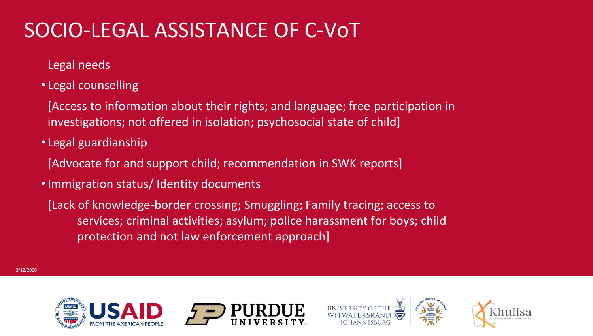### SOCIO-LEGAL ASSISTANCE OF C-VoT

Legal needs

- Legal counselling
- [Access to information about their rights; and language; free participation in investigations; not offered in isolation; psychosocial state of child]
- Legal guardianship
- [Advocate for and support child; recommendation in SWK reports]
- •Immigration status/ Identity documents
	- [Lack of knowledge-border crossing; Smuggling; Family tracing; access to services; criminal activities; asylum; police harassment for boys; child protection and not law enforcement approach]





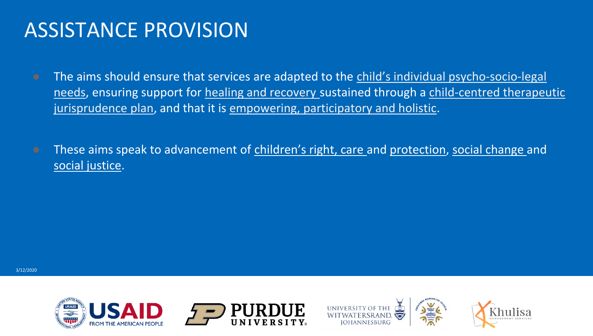### ASSISTANCE PROVISION

- The aims should ensure that services are adapted to the child's individual psycho-socio-legal needs, ensuring support for healing and recovery sustained through a child-centred therapeutic jurisprudence plan, and that it is empowering, participatory and holistic.
- **•** These aims speak to advancement of children's right, care and protection, social change and social justice.





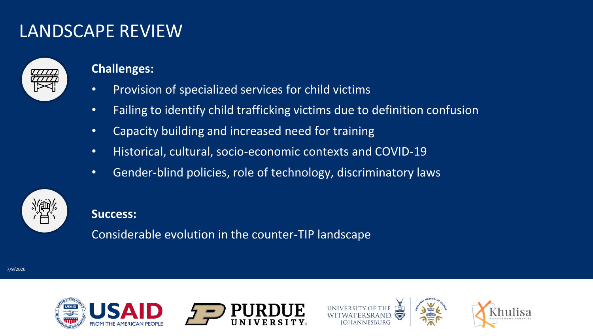### LANDSCAPE REVIEW



#### **Challenges:**

- Provision of specialized services for child victims
- Failing to identify child trafficking victims due to definition confusion
- Capacity building and increased need for training
- Historical, cultural, socio-economic contexts and COVID-19
- Gender-blind policies, role of technology, discriminatory laws



#### **Success:**

Considerable evolution in the counter-TIP landscape

7/9/2020





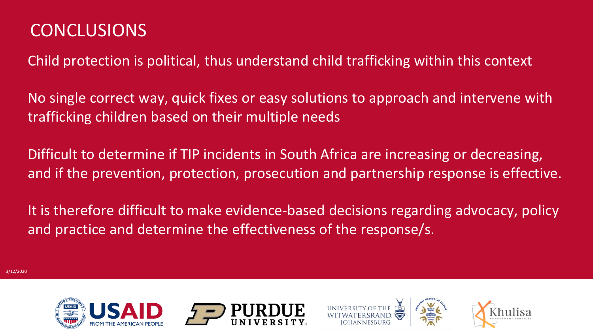### **CONCLUSIONS**

Child protection is political, thus understand child trafficking within this context

No single correct way, quick fixes or easy solutions to approach and intervene with trafficking children based on their multiple needs

Difficult to determine if TIP incidents in South Africa are increasing or decreasing, and if the prevention, protection, prosecution and partnership response is effective.

It is therefore difficult to make evidence-based decisions regarding advocacy, policy and practice and determine the effectiveness of the response/s.